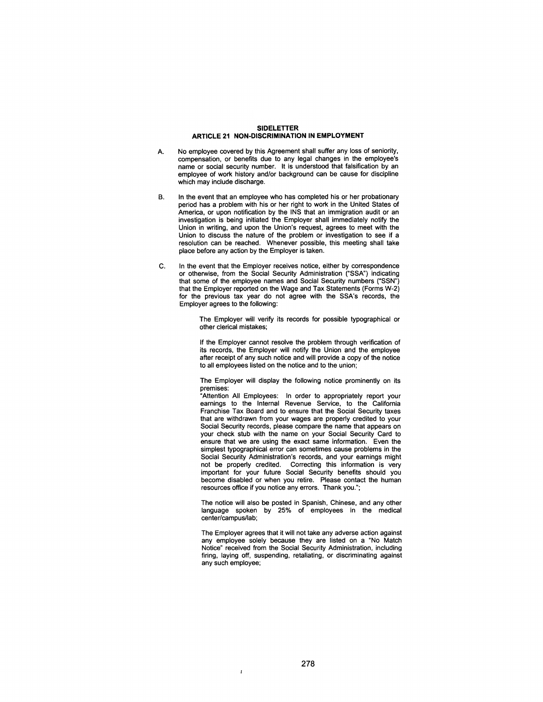## SIDELETTER ARTICLE 21 NON-DISCRIMINATION IN EMPLOYMENT

- A. No employee covered by this Agreement shall suffer any loss of seniority, compensation, or benefits due to any legal changes in the employee's name or social security number. It is understood that falsification by an employee of work history and/or background can be cause for discipline which may include discharge.
- B. In the event that an employee who has completed his or her probationary period has a problem with his or her right to work in the United States of America, or upon notification by the INS that an immigration audit or an investigation is being initiated the Employer shall immediately notify the Union in writing, and upon the Union's request, agrees to meet with the Union to discuss the nature of the problem or investigation to see if a resolution can be reached. Whenever possible, this meeting shall take place before any action by the Employer is taken.
- C. In the event that the Employer receives notice, either by correspondence or otherwise, from the Social Security Administration ("SSA") indicating that some of the employee names and Social Security numbers ("SSN") that the Employer reported on the Wage and Tax Statements (Forms W-2) for the previous tax year do not agree with the SSA's records, the Employer agrees to the folloWing:

The Employer will verify its records for possible typographical or other clerical mistakes;

If the Employer cannot resolve the problem through verification of its records, the Employer will notify the Union and the employee after receipt of any such notice and will provide a copy of the notice to all employees listed on the notice and to the union;

The Employer will display the following notice prominently on its premises:

"Attention All Employees: In order to appropriately report your earnings to the Internal Revenue Service, to the California Franchise Tax Board and to ensure that the Social Security taxes that are withdrawn from your wages are properly credited to your Social Security records, please compare the name that appears on your check stub with the name on your Social Security Card to ensure that we are using the exact same information. Even the simplest typographical error can sometimes cause problems in the Social Security Administration's records, and your earnings might not be properly credited. Correcting this information is very important for your future Social Security benefits should you become disabled or when you retire. Please contact the human resources office if you notice any errors. Thank you.";

The notice will also be posted in Spanish, Chinese, and any other language spoken by 25% of employees in the medical center/campus/lab;

The Employer agrees that it will not take any adverse action against any employee solely because they are listed on a "No Match Notice" received from the Social Security Administration, including firing, laying off, suspending, retaliating, or discriminating against any such employee;

Î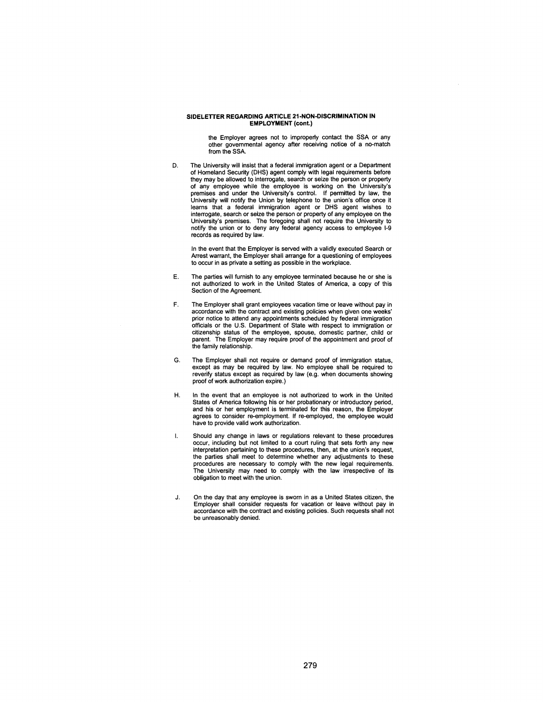## SIDELETTER REGARDING ARTICLE 21-NON-DISCRIMINATION IN **EMPLOYMENT** (cont.)

the Employer agrees not to improperly contact the SSA or any other governmental agency after receiving notice of a no-match from the SSA.

D. The University will insist that a federal immigration agent or a Department of Homeland Security (DHS) agent comply with legal requirements before they may be allowed to interrogate, search or seize the person or property of any employee while the employee is working on the University's premises and under the University's control. If permitted by law, the University will notify the Union by telephone to the union's office once it learns that a federal immigration agent or DHS agent wishes to interrogate, search or seize the person or property of any employee on the University's premises. The foregoing shall not require the University to notify the union or to deny any federal agency access to employee 1-9 records as required by law.

In the event that the Employer is served with a validly executed Search or Arrest warrant, the Employer shall arrange for a questioning of employees to occur in as private a setting as possible in the workplace.

- E. The parties will furnish to any employee terminated because he or she is not authorized to work in the United States of America, a copy of this Section of the Agreement.
- F. The Employer shall grant employees vacation time or leave without pay in accordance with the contract and existing policies when given one weeks' prior notice to attend any appointments scheduled by federal immigration officials or the U.S. Department of State with respect to immigration or citizenship status of the employee, spouse, domestic partner, child or parent. The Employer may require proof of the appointment and proof of the family relationship.
- G. The Employer shall not require or demand proof of immigration status, except as may be required by law. No employee shall be required to reverify status except as required by law (e.g. when documents showing proof of work authorization expire.)
- H. In the event that an employee is not authorized to work in the United States of America following his or her probationary or introductory period, and his or her employment is terminated for this reason, the Employer agrees to consider re-employment. If re-employed, the employee would have to provide valid work authorization.
- $\mathbf{l}$ . Should any change in laws or regulations relevant to these procedures occur, including but not limited to a court ruling that sets forth any new interpretation pertaining to these procedures, then, at the union's request, the parties shall meet to determine whether any adjustments to these procedures are necessary to comply with the new legal requirements. The University may need to comply with the law irrespective of its obligation to meet with the union.
- J. On the day that any employee is sworn in as a United States citizen, the Employer shall consider requests for vacation or leave without pay in accordance with the contract and existing policies. Such requests shall not be unreasonably denied.